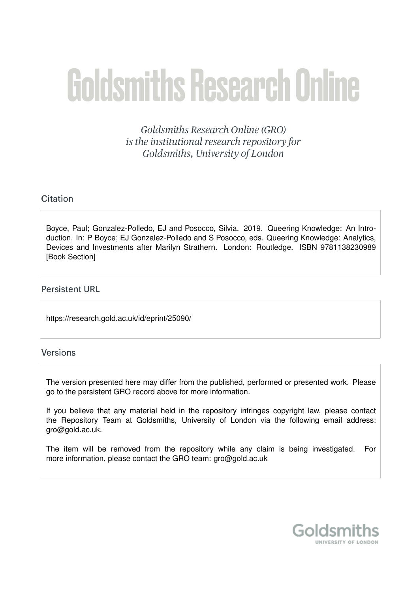# **Goldsmiths Research Online**

Goldsmiths Research Online (GRO) is the institutional research repository for Goldsmiths, University of London

# Citation

Boyce, Paul; Gonzalez-Polledo, EJ and Posocco, Silvia. 2019. Queering Knowledge: An Introduction. In: P Boyce; EJ Gonzalez-Polledo and S Posocco, eds. Queering Knowledge: Analytics, Devices and Investments after Marilyn Strathern. London: Routledge. ISBN 9781138230989 [Book Section]

# **Persistent URL**

https://research.gold.ac.uk/id/eprint/25090/

# Versions

The version presented here may differ from the published, performed or presented work. Please go to the persistent GRO record above for more information.

If you believe that any material held in the repository infringes copyright law, please contact the Repository Team at Goldsmiths, University of London via the following email address: gro@gold.ac.uk.

The item will be removed from the repository while any claim is being investigated. For more information, please contact the GRO team: gro@gold.ac.uk

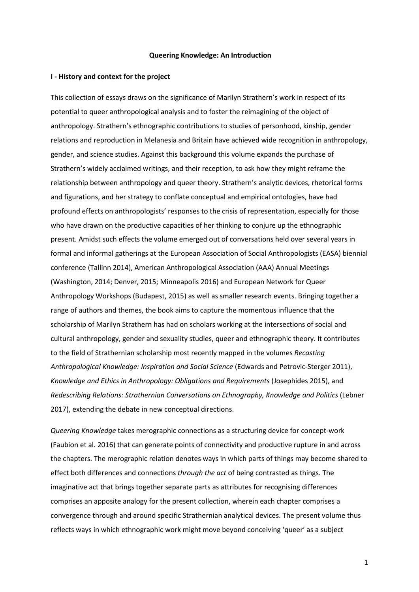### **Queering Knowledge: An Introduction**

### **I - History and context for the project**

This collection of essays draws on the significance of Marilyn Strathern's work in respect of its potential to queer anthropological analysis and to foster the reimagining of the object of anthropology. Strathern's ethnographic contributions to studies of personhood, kinship, gender relations and reproduction in Melanesia and Britain have achieved wide recognition in anthropology, gender, and science studies. Against this background this volume expands the purchase of Strathern's widely acclaimed writings, and their reception, to ask how they might reframe the relationship between anthropology and queer theory. Strathern's analytic devices, rhetorical forms and figurations, and her strategy to conflate conceptual and empirical ontologies, have had profound effects on anthropologists' responses to the crisis of representation, especially for those who have drawn on the productive capacities of her thinking to conjure up the ethnographic present. Amidst such effects the volume emerged out of conversations held over several years in formal and informal gatherings at the European Association of Social Anthropologists (EASA) biennial conference (Tallinn 2014), American Anthropological Association (AAA) Annual Meetings (Washington, 2014; Denver, 2015; Minneapolis 2016) and European Network for Queer Anthropology Workshops (Budapest, 2015) as well as smaller research events. Bringing together a range of authors and themes, the book aims to capture the momentous influence that the scholarship of Marilyn Strathern has had on scholars working at the intersections of social and cultural anthropology, gender and sexuality studies, queer and ethnographic theory. It contributes to the field of Strathernian scholarship most recently mapped in the volumes *Recasting Anthropological Knowledge: Inspiration and Social Science* (Edwards and Petrovic-Sterger 2011), *Knowledge and Ethics in Anthropology: Obligations and Requirements* (Josephides 2015), and *Redescribing Relations: Strathernian Conversations on Ethnography, Knowledge and Politics* (Lebner 2017), extending the debate in new conceptual directions.

*Queering Knowledge* takes merographic connections as a structuring device for concept-work (Faubion et al. 2016) that can generate points of connectivity and productive rupture in and across the chapters. The merographic relation denotes ways in which parts of things may become shared to effect both differences and connections *through the act* of being contrasted as things. The imaginative act that brings together separate parts as attributes for recognising differences comprises an apposite analogy for the present collection, wherein each chapter comprises a convergence through and around specific Strathernian analytical devices. The present volume thus reflects ways in which ethnographic work might move beyond conceiving 'queer' as a subject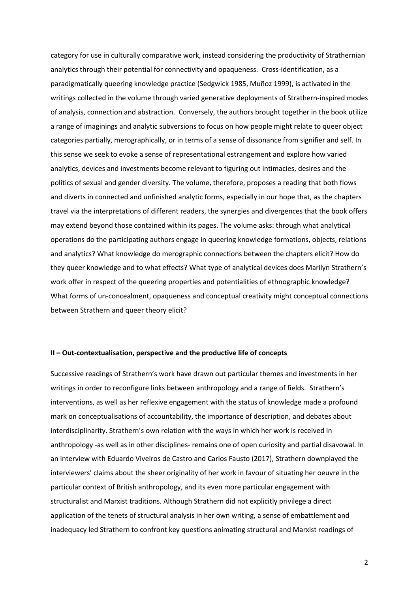category for use in culturally comparative work, instead considering the productivity of Strathernian analytics through their potential for connectivity and opaqueness. Cross-identification, as a paradigmatically queering knowledge practice (Sedgwick 1985, Muñoz 1999), is activated in the writings collected in the volume through varied generative deployments of Strathern-inspired modes of analysis, connection and abstraction. Conversely, the authors brought together in the book utilize a range of imaginings and analytic subversions to focus on how people might relate to queer object categories partially, merographically, or in terms of a sense of dissonance from signifier and self. In this sense we seek to evoke a sense of representational estrangement and explore how varied analytics, devices and investments become relevant to figuring out intimacies, desires and the politics of sexual and gender diversity. The volume, therefore, proposes a reading that both flows and diverts in connected and unfinished analytic forms, especially in our hope that, as the chapters travel via the interpretations of different readers, the synergies and divergences that the book offers may extend beyond those contained within its pages. The volume asks: through what analytical operations do the participating authors engage in queering knowledge formations, objects, relations and analytics? What knowledge do merographic connections between the chapters elicit? How do they queer knowledge and to what effects? What type of analytical devices does Marilyn Strathern's work offer in respect of the queering properties and potentialities of ethnographic knowledge? What forms of un-concealment, opaqueness and conceptual creativity might conceptual connections between Strathern and queer theory elicit?

### **II – Out-contextualisation, perspective and the productive life of concepts**

Successive readings of Strathern's work have drawn out particular themes and investments in her writings in order to reconfigure links between anthropology and a range of fields. Strathern's interventions, as well as her reflexive engagement with the status of knowledge made a profound mark on conceptualisations of accountability, the importance of description, and debates about interdisciplinarity. Strathern's own relation with the ways in which her work is received in anthropology -as well as in other disciplines- remains one of open curiosity and partial disavowal. In an interview with Eduardo Viveiros de Castro and Carlos Fausto (2017), Strathern downplayed the interviewers' claims about the sheer originality of her work in favour of situating her oeuvre in the particular context of British anthropology, and its even more particular engagement with structuralist and Marxist traditions. Although Strathern did not explicitly privilege a direct application of the tenets of structural analysis in her own writing, a sense of embattlement and inadequacy led Strathern to confront key questions animating structural and Marxist readings of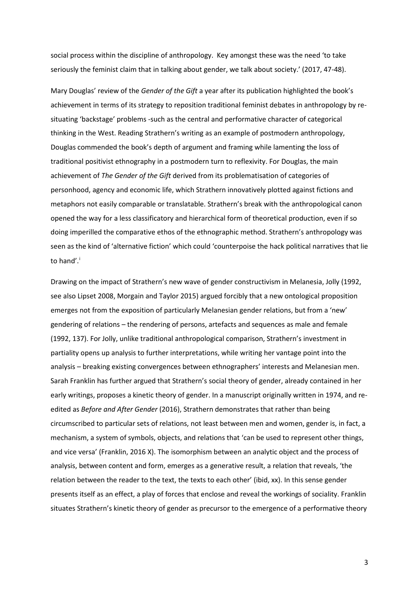social process within the discipline of anthropology. Key amongst these was the need 'to take seriously the feminist claim that in talking about gender, we talk about society.' (2017, 47-48).

Mary Douglas' review of the *Gender of the Gift* a year after its publication highlighted the book's achievement in terms of its strategy to reposition traditional feminist debates in anthropology by resituating 'backstage' problems -such as the central and performative character of categorical thinking in the West. Reading Strathern's writing as an example of postmodern anthropology, Douglas commended the book's depth of argument and framing while lamenting the loss of traditional positivist ethnography in a postmodern turn to reflexivity. For Douglas, the main achievement of *The Gender of the Gift* derived from its problematisation of categories of personhood, agency and economic life, which Strathern innovatively plotted against fictions and metaphors not easily comparable or translatable. Strathern's break with the anthropological canon opened the way for a less classificatory and hierarchical form of theoretical production, even if so doing imperilled the comparative ethos of the ethnographic method. Strathern's anthropology was seen as the kind of 'alternative fiction' which could 'counterpoise the hack political narratives that lie to hand'.<sup>[i](#page-21-0)</sup>

Drawing on the impact of Strathern's new wave of gender constructivism in Melanesia, Jolly (1992, see also Lipset 2008, Morgain and Taylor 2015) argued forcibly that a new ontological proposition emerges not from the exposition of particularly Melanesian gender relations, but from a 'new' gendering of relations – the rendering of persons, artefacts and sequences as male and female (1992, 137). For Jolly, unlike traditional anthropological comparison, Strathern's investment in partiality opens up analysis to further interpretations, while writing her vantage point into the analysis – breaking existing convergences between ethnographers' interests and Melanesian men. Sarah Franklin has further argued that Strathern's social theory of gender, already contained in her early writings, proposes a kinetic theory of gender. In a manuscript originally written in 1974, and reedited as *Before and After Gender* (2016), Strathern demonstrates that rather than being circumscribed to particular sets of relations, not least between men and women, gender is, in fact, a mechanism, a system of symbols, objects, and relations that 'can be used to represent other things, and vice versa' (Franklin, 2016 X). The isomorphism between an analytic object and the process of analysis, between content and form, emerges as a generative result, a relation that reveals, 'the relation between the reader to the text, the texts to each other' (ibid, xx). In this sense gender presents itself as an effect, a play of forces that enclose and reveal the workings of sociality. Franklin situates Strathern's kinetic theory of gender as precursor to the emergence of a performative theory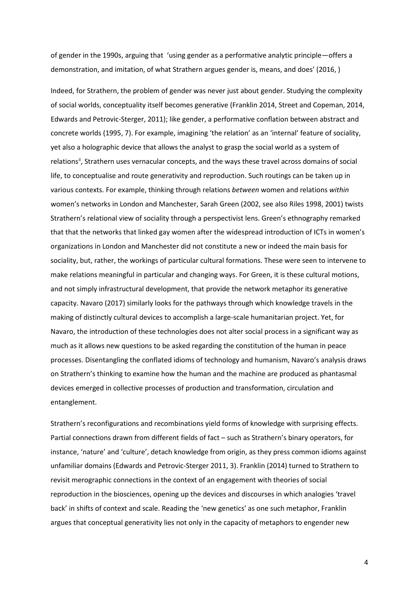of gender in the 1990s, arguing that 'using gender as a performative analytic principle—offers a demonstration, and imitation, of what Strathern argues gender is, means, and does' (2016, )

Indeed, for Strathern, the problem of gender was never just about gender. Studying the complexity of social worlds, conceptuality itself becomes generative (Franklin 2014, Street and Copeman, 2014, Edwards and Petrovic-Sterger, 2011); like gender, a performative conflation between abstract and concrete worlds (1995, 7). For example, imagining 'the relation' as an 'internal' feature of sociality, yet also a holographic device that allows the analyst to grasp the social world as a system of relations<sup>[ii](#page-21-1)</sup>, Strathern uses vernacular concepts, and the ways these travel across domains of social life, to conceptualise and route generativity and reproduction. Such routings can be taken up in various contexts. For example, thinking through relations *between* women and relations *within* women's networks in London and Manchester, Sarah Green (2002, see also Riles 1998, 2001) twists Strathern's relational view of sociality through a perspectivist lens. Green's ethnography remarked that that the networks that linked gay women after the widespread introduction of ICTs in women's organizations in London and Manchester did not constitute a new or indeed the main basis for sociality, but, rather, the workings of particular cultural formations. These were seen to intervene to make relations meaningful in particular and changing ways. For Green, it is these cultural motions, and not simply infrastructural development, that provide the network metaphor its generative capacity. Navaro (2017) similarly looks for the pathways through which knowledge travels in the making of distinctly cultural devices to accomplish a large-scale humanitarian project. Yet, for Navaro, the introduction of these technologies does not alter social process in a significant way as much as it allows new questions to be asked regarding the constitution of the human in peace processes. Disentangling the conflated idioms of technology and humanism, Navaro's analysis draws on Strathern's thinking to examine how the human and the machine are produced as phantasmal devices emerged in collective processes of production and transformation, circulation and entanglement.

Strathern's reconfigurations and recombinations yield forms of knowledge with surprising effects. Partial connections drawn from different fields of fact – such as Strathern's binary operators, for instance, 'nature' and 'culture', detach knowledge from origin, as they press common idioms against unfamiliar domains (Edwards and Petrovic-Sterger 2011, 3). Franklin (2014) turned to Strathern to revisit merographic connections in the context of an engagement with theories of social reproduction in the biosciences, opening up the devices and discourses in which analogies 'travel back' in shifts of context and scale. Reading the 'new genetics' as one such metaphor, Franklin argues that conceptual generativity lies not only in the capacity of metaphors to engender new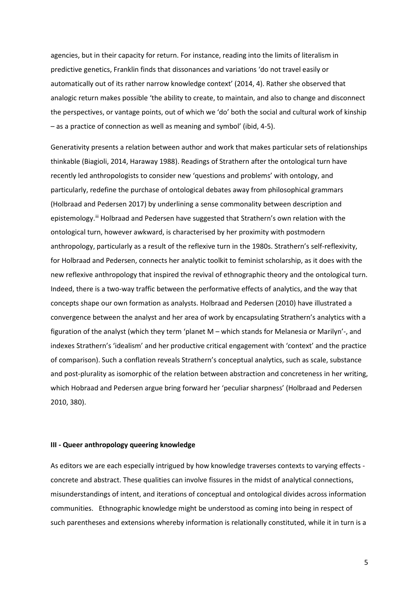agencies, but in their capacity for return. For instance, reading into the limits of literalism in predictive genetics, Franklin finds that dissonances and variations 'do not travel easily or automatically out of its rather narrow knowledge context' (2014, 4). Rather she observed that analogic return makes possible 'the ability to create, to maintain, and also to change and disconnect the perspectives, or vantage points, out of which we 'do' both the social and cultural work of kinship – as a practice of connection as well as meaning and symbol' (ibid, 4-5).

Generativity presents a relation between author and work that makes particular sets of relationships thinkable (Biagioli, 2014, Haraway 1988). Readings of Strathern after the ontological turn have recently led anthropologists to consider new 'questions and problems' with ontology, and particularly, redefine the purchase of ontological debates away from philosophical grammars (Holbraad and Pedersen 2017) by underlining a sense commonality between description and epistemology.<sup>ii</sup> Holbraad and Pedersen have suggested that Strathern's own relation with the ontological turn, however awkward, is characterised by her proximity with postmodern anthropology, particularly as a result of the reflexive turn in the 1980s. Strathern's self-reflexivity, for Holbraad and Pedersen, connects her analytic toolkit to feminist scholarship, as it does with the new reflexive anthropology that inspired the revival of ethnographic theory and the ontological turn. Indeed, there is a two-way traffic between the performative effects of analytics, and the way that concepts shape our own formation as analysts. Holbraad and Pedersen (2010) have illustrated a convergence between the analyst and her area of work by encapsulating Strathern's analytics with a figuration of the analyst (which they term 'planet M – which stands for Melanesia or Marilyn'-, and indexes Strathern's 'idealism' and her productive critical engagement with 'context' and the practice of comparison). Such a conflation reveals Strathern's conceptual analytics, such as scale, substance and post-plurality as isomorphic of the relation between abstraction and concreteness in her writing, which Hobraad and Pedersen argue bring forward her 'peculiar sharpness' (Holbraad and Pedersen 2010, 380).

### **III - Queer anthropology queering knowledge**

As editors we are each especially intrigued by how knowledge traverses contexts to varying effects concrete and abstract. These qualities can involve fissures in the midst of analytical connections, misunderstandings of intent, and iterations of conceptual and ontological divides across information communities. Ethnographic knowledge might be understood as coming into being in respect of such parentheses and extensions whereby information is relationally constituted, while it in turn is a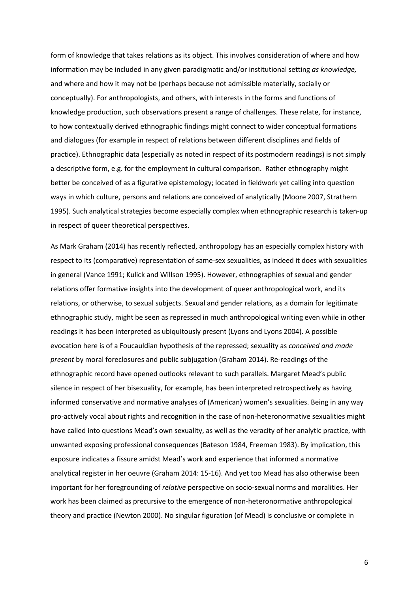form of knowledge that takes relations as its object. This involves consideration of where and how information may be included in any given paradigmatic and/or institutional setting *as knowledge,*  and where and how it may not be (perhaps because not admissible materially, socially or conceptually). For anthropologists, and others, with interests in the forms and functions of knowledge production, such observations present a range of challenges. These relate, for instance, to how contextually derived ethnographic findings might connect to wider conceptual formations and dialogues (for example in respect of relations between different disciplines and fields of practice). Ethnographic data (especially as noted in respect of its postmodern readings) is not simply a descriptive form, e.g. for the employment in cultural comparison. Rather ethnography might better be conceived of as a figurative epistemology; located in fieldwork yet calling into question ways in which culture, persons and relations are conceived of analytically (Moore 2007, Strathern 1995). Such analytical strategies become especially complex when ethnographic research is taken-up in respect of queer theoretical perspectives.

As Mark Graham (2014) has recently reflected, anthropology has an especially complex history with respect to its (comparative) representation of same-sex sexualities, as indeed it does with sexualities in general (Vance 1991; Kulick and Willson 1995). However, ethnographies of sexual and gender relations offer formative insights into the development of queer anthropological work, and its relations, or otherwise, to sexual subjects. Sexual and gender relations, as a domain for legitimate ethnographic study, might be seen as repressed in much anthropological writing even while in other readings it has been interpreted as ubiquitously present (Lyons and Lyons 2004). A possible evocation here is of a Foucauldian hypothesis of the repressed; sexuality as *conceived and made present* by moral foreclosures and public subjugation (Graham 2014). Re-readings of the ethnographic record have opened outlooks relevant to such parallels. Margaret Mead's public silence in respect of her bisexuality, for example, has been interpreted retrospectively as having informed conservative and normative analyses of (American) women's sexualities. Being in any way pro-actively vocal about rights and recognition in the case of non-heteronormative sexualities might have called into questions Mead's own sexuality, as well as the veracity of her analytic practice, with unwanted exposing professional consequences (Bateson 1984, Freeman 1983). By implication, this exposure indicates a fissure amidst Mead's work and experience that informed a normative analytical register in her oeuvre (Graham 2014: 15-16). And yet too Mead has also otherwise been important for her foregrounding of *relative* perspective on socio-sexual norms and moralities. Her work has been claimed as precursive to the emergence of non-heteronormative anthropological theory and practice (Newton 2000). No singular figuration (of Mead) is conclusive or complete in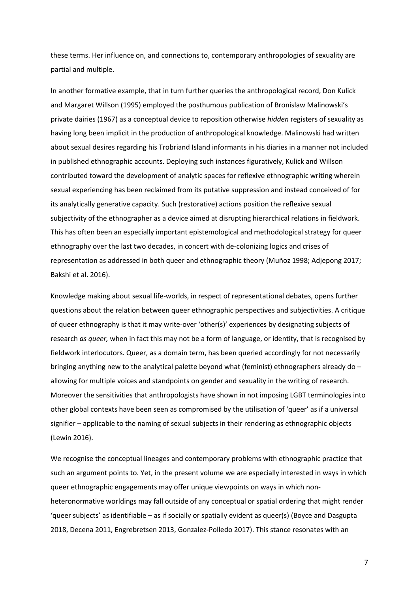these terms. Her influence on, and connections to, contemporary anthropologies of sexuality are partial and multiple.

In another formative example, that in turn further queries the anthropological record, Don Kulick and Margaret Willson (1995) employed the posthumous publication of Bronislaw Malinowski's private dairies (1967) as a conceptual device to reposition otherwise *hidden* registers of sexuality as having long been implicit in the production of anthropological knowledge. Malinowski had written about sexual desires regarding his Trobriand Island informants in his diaries in a manner not included in published ethnographic accounts. Deploying such instances figuratively, Kulick and Willson contributed toward the development of analytic spaces for reflexive ethnographic writing wherein sexual experiencing has been reclaimed from its putative suppression and instead conceived of for its analytically generative capacity. Such (restorative) actions position the reflexive sexual subjectivity of the ethnographer as a device aimed at disrupting hierarchical relations in fieldwork. This has often been an especially important epistemological and methodological strategy for queer ethnography over the last two decades, in concert with de-colonizing logics and crises of representation as addressed in both queer and ethnographic theory (Muñoz 1998; Adjepong 2017; Bakshi et al. 2016).

Knowledge making about sexual life-worlds, in respect of representational debates, opens further questions about the relation between queer ethnographic perspectives and subjectivities. A critique of queer ethnography is that it may write-over 'other(s)' experiences by designating subjects of research *as queer,* when in fact this may not be a form of language, or identity, that is recognised by fieldwork interlocutors. Queer, as a domain term, has been queried accordingly for not necessarily bringing anything new to the analytical palette beyond what (feminist) ethnographers already do – allowing for multiple voices and standpoints on gender and sexuality in the writing of research. Moreover the sensitivities that anthropologists have shown in not imposing LGBT terminologies into other global contexts have been seen as compromised by the utilisation of 'queer' as if a universal signifier – applicable to the naming of sexual subjects in their rendering as ethnographic objects (Lewin 2016).

We recognise the conceptual lineages and contemporary problems with ethnographic practice that such an argument points to. Yet, in the present volume we are especially interested in ways in which queer ethnographic engagements may offer unique viewpoints on ways in which nonheteronormative worldings may fall outside of any conceptual or spatial ordering that might render 'queer subjects' as identifiable – as if socially or spatially evident as queer(s) (Boyce and Dasgupta 2018, Decena 2011, Engrebretsen 2013, Gonzalez-Polledo 2017). This stance resonates with an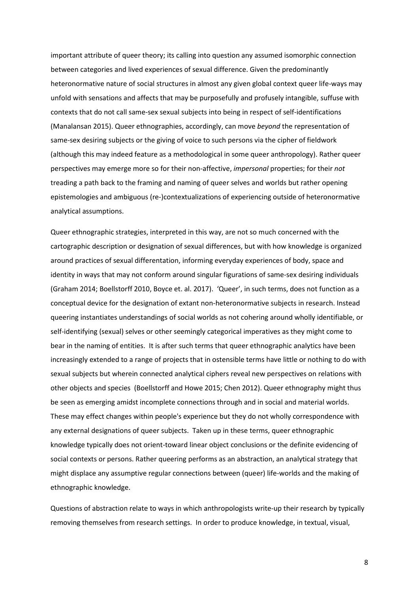important attribute of queer theory; its calling into question any assumed isomorphic connection between categories and lived experiences of sexual difference. Given the predominantly heteronormative nature of social structures in almost any given global context queer life-ways may unfold with sensations and affects that may be purposefully and profusely intangible, suffuse with contexts that do not call same-sex sexual subjects into being in respect of self-identifications (Manalansan 2015). Queer ethnographies, accordingly, can move *beyond* the representation of same-sex desiring subjects or the giving of voice to such persons via the cipher of fieldwork (although this may indeed feature as a methodological in some queer anthropology). Rather queer perspectives may emerge more so for their non-affective, *impersonal* properties; for their *not* treading a path back to the framing and naming of queer selves and worlds but rather opening epistemologies and ambiguous (re-)contextualizations of experiencing outside of heteronormative analytical assumptions.

Queer ethnographic strategies, interpreted in this way, are not so much concerned with the cartographic description or designation of sexual differences, but with how knowledge is organized around practices of sexual differentation, informing everyday experiences of body, space and identity in ways that may not conform around singular figurations of same-sex desiring individuals (Graham 2014; Boellstorff 2010, Boyce et. al. 2017). 'Queer', in such terms, does not function as a conceptual device for the designation of extant non-heteronormative subjects in research. Instead queering instantiates understandings of social worlds as not cohering around wholly identifiable, or self-identifying (sexual) selves or other seemingly categorical imperatives as they might come to bear in the naming of entities. It is after such terms that queer ethnographic analytics have been increasingly extended to a range of projects that in ostensible terms have little or nothing to do with sexual subjects but wherein connected analytical ciphers reveal new perspectives on relations with other objects and species (Boellstorff and Howe 2015; Chen 2012). Queer ethnography might thus be seen as emerging amidst incomplete connections through and in social and material worlds. These may effect changes within people's experience but they do not wholly correspondence with any external designations of queer subjects. Taken up in these terms, queer ethnographic knowledge typically does not orient-toward linear object conclusions or the definite evidencing of social contexts or persons. Rather queering performs as an abstraction, an analytical strategy that might displace any assumptive regular connections between (queer) life-worlds and the making of ethnographic knowledge.

Questions of abstraction relate to ways in which anthropologists write-up their research by typically removing themselves from research settings. In order to produce knowledge, in textual, visual,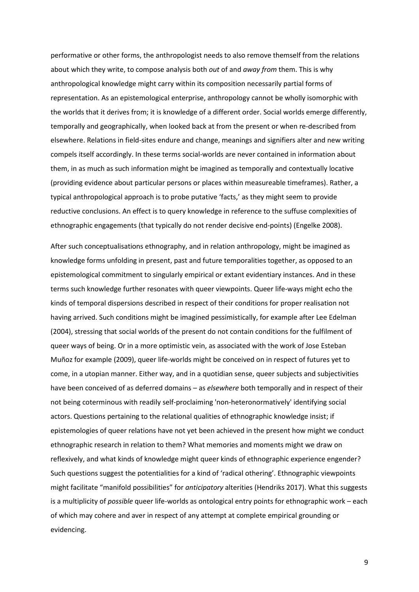performative or other forms, the anthropologist needs to also remove themself from the relations about which they write, to compose analysis both *out* of and *away from* them. This is why anthropological knowledge might carry within its composition necessarily partial forms of representation. As an epistemological enterprise, anthropology cannot be wholly isomorphic with the worlds that it derives from; it is knowledge of a different order. Social worlds emerge differently, temporally and geographically, when looked back at from the present or when re-described from elsewhere. Relations in field-sites endure and change, meanings and signifiers alter and new writing compels itself accordingly. In these terms social-worlds are never contained in information about them, in as much as such information might be imagined as temporally and contextually locative (providing evidence about particular persons or places within measureable timeframes). Rather, a typical anthropological approach is to probe putative 'facts,' as they might seem to provide reductive conclusions. An effect is to query knowledge in reference to the suffuse complexities of ethnographic engagements (that typically do not render decisive end-points) (Engelke 2008).

After such conceptualisations ethnography, and in relation anthropology, might be imagined as knowledge forms unfolding in present, past and future temporalities together, as opposed to an epistemological commitment to singularly empirical or extant evidentiary instances. And in these terms such knowledge further resonates with queer viewpoints. Queer life-ways might echo the kinds of temporal dispersions described in respect of their conditions for proper realisation not having arrived. Such conditions might be imagined pessimistically, for example after Lee Edelman (2004), stressing that social worlds of the present do not contain conditions for the fulfilment of queer ways of being. Or in a more optimistic vein, as associated with the work of Jose Esteban Muñoz for example (2009), queer life-worlds might be conceived on in respect of futures yet to come, in a utopian manner. Either way, and in a quotidian sense, queer subjects and subjectivities have been conceived of as deferred domains – as *elsewhere* both temporally and in respect of their not being coterminous with readily self-proclaiming 'non-heteronormatively' identifying social actors. Questions pertaining to the relational qualities of ethnographic knowledge insist; if epistemologies of queer relations have not yet been achieved in the present how might we conduct ethnographic research in relation to them? What memories and moments might we draw on reflexively, and what kinds of knowledge might queer kinds of ethnographic experience engender? Such questions suggest the potentialities for a kind of 'radical othering'. Ethnographic viewpoints might facilitate "manifold possibilities" for *anticipatory* alterities (Hendriks 2017). What this suggests is a multiplicity of *possible* queer life-worlds as ontological entry points for ethnographic work – each of which may cohere and aver in respect of any attempt at complete empirical grounding or evidencing.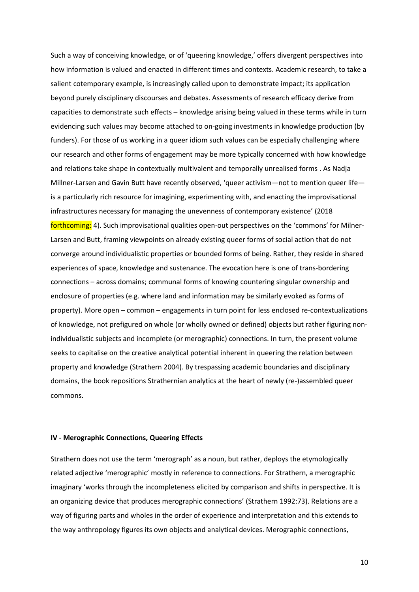Such a way of conceiving knowledge, or of 'queering knowledge,' offers divergent perspectives into how information is valued and enacted in different times and contexts. Academic research, to take a salient cotemporary example, is increasingly called upon to demonstrate impact; its application beyond purely disciplinary discourses and debates. Assessments of research efficacy derive from capacities to demonstrate such effects – knowledge arising being valued in these terms while in turn evidencing such values may become attached to on-going investments in knowledge production (by funders). For those of us working in a queer idiom such values can be especially challenging where our research and other forms of engagement may be more typically concerned with how knowledge and relations take shape in contextually multivalent and temporally unrealised forms . As Nadja Millner-Larsen and Gavin Butt have recently observed, 'queer activism—not to mention queer life is a particularly rich resource for imagining, experimenting with, and enacting the improvisational infrastructures necessary for managing the unevenness of contemporary existence' (2018 forthcoming: 4). Such improvisational qualities open-out perspectives on the 'commons' for Milner-Larsen and Butt, framing viewpoints on already existing queer forms of social action that do not converge around individualistic properties or bounded forms of being. Rather, they reside in shared experiences of space, knowledge and sustenance. The evocation here is one of trans-bordering connections – across domains; communal forms of knowing countering singular ownership and enclosure of properties (e.g. where land and information may be similarly evoked as forms of property). More open – common – engagements in turn point for less enclosed re-contextualizations of knowledge, not prefigured on whole (or wholly owned or defined) objects but rather figuring nonindividualistic subjects and incomplete (or merographic) connections. In turn, the present volume seeks to capitalise on the creative analytical potential inherent in queering the relation between property and knowledge (Strathern 2004). By trespassing academic boundaries and disciplinary domains, the book repositions Strathernian analytics at the heart of newly (re-)assembled queer commons.

### **IV - Merographic Connections, Queering Effects**

Strathern does not use the term 'merograph' as a noun, but rather, deploys the etymologically related adjective 'merographic' mostly in reference to connections. For Strathern, a merographic imaginary 'works through the incompleteness elicited by comparison and shifts in perspective. It is an organizing device that produces merographic connections' (Strathern 1992:73). Relations are a way of figuring parts and wholes in the order of experience and interpretation and this extends to the way anthropology figures its own objects and analytical devices. Merographic connections,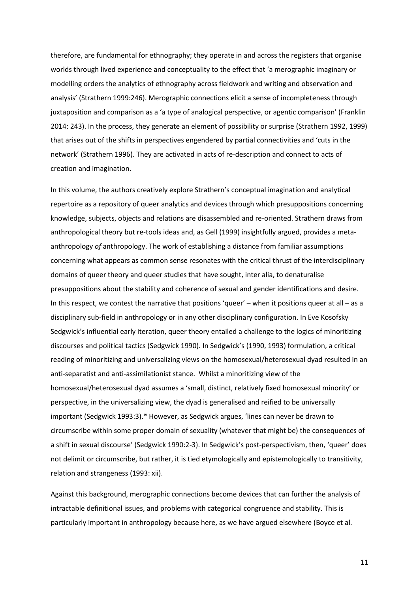therefore, are fundamental for ethnography; they operate in and across the registers that organise worlds through lived experience and conceptuality to the effect that 'a merographic imaginary or modelling orders the analytics of ethnography across fieldwork and writing and observation and analysis' (Strathern 1999:246). Merographic connections elicit a sense of incompleteness through juxtaposition and comparison as a 'a type of analogical perspective, or agentic comparison' (Franklin 2014: 243). In the process, they generate an element of possibility or surprise (Strathern 1992, 1999) that arises out of the shifts in perspectives engendered by partial connectivities and 'cuts in the network' (Strathern 1996). They are activated in acts of re-description and connect to acts of creation and imagination.

In this volume, the authors creatively explore Strathern's conceptual imagination and analytical repertoire as a repository of queer analytics and devices through which presuppositions concerning knowledge, subjects, objects and relations are disassembled and re-oriented. Strathern draws from anthropological theory but re-tools ideas and, as Gell (1999) insightfully argued, provides a metaanthropology *of* anthropology. The work of establishing a distance from familiar assumptions concerning what appears as common sense resonates with the critical thrust of the interdisciplinary domains of queer theory and queer studies that have sought, inter alia, to denaturalise presuppositions about the stability and coherence of sexual and gender identifications and desire. In this respect, we contest the narrative that positions 'queer' – when it positions queer at all – as a disciplinary sub-field in anthropology or in any other disciplinary configuration. In Eve Kosofsky Sedgwick's influential early iteration, queer theory entailed a challenge to the logics of minoritizing discourses and political tactics (Sedgwick 1990). In Sedgwick's (1990, 1993) formulation, a critical reading of minoritizing and universalizing views on the homosexual/heterosexual dyad resulted in an anti-separatist and anti-assimilationist stance. Whilst a minoritizing view of the homosexual/heterosexual dyad assumes a 'small, distinct, relatively fixed homosexual minority' or perspective, in the universalizing view, the dyad is generalised and reified to be universally important (Sedgwick 1993:3).<sup>[iv](#page-21-3)</sup> However, as Sedgwick argues, 'lines can never be drawn to circumscribe within some proper domain of sexuality (whatever that might be) the consequences of a shift in sexual discourse' (Sedgwick 1990:2-3). In Sedgwick's post-perspectivism, then, 'queer' does not delimit or circumscribe, but rather, it is tied etymologically and epistemologically to transitivity, relation and strangeness (1993: xii).

Against this background, merographic connections become devices that can further the analysis of intractable definitional issues, and problems with categorical congruence and stability. This is particularly important in anthropology because here, as we have argued elsewhere (Boyce et al.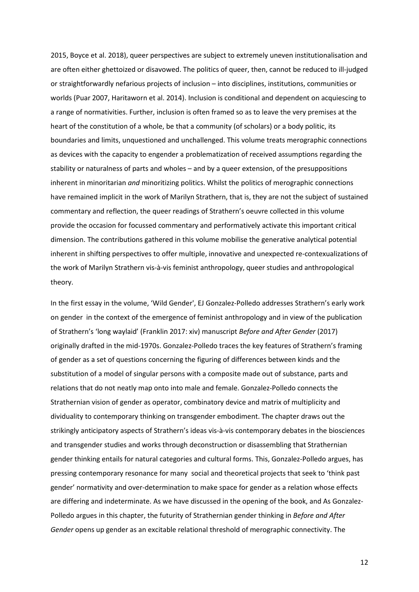2015, Boyce et al. 2018), queer perspectives are subject to extremely uneven institutionalisation and are often either ghettoized or disavowed. The politics of queer, then, cannot be reduced to ill-judged or straightforwardly nefarious projects of inclusion – into disciplines, institutions, communities or worlds (Puar 2007, Haritaworn et al. 2014). Inclusion is conditional and dependent on acquiescing to a range of normativities. Further, inclusion is often framed so as to leave the very premises at the heart of the constitution of a whole, be that a community (of scholars) or a body politic, its boundaries and limits, unquestioned and unchallenged. This volume treats merographic connections as devices with the capacity to engender a problematization of received assumptions regarding the stability or naturalness of parts and wholes – and by a queer extension, of the presuppositions inherent in minoritarian *and* minoritizing politics. Whilst the politics of merographic connections have remained implicit in the work of Marilyn Strathern, that is, they are not the subject of sustained commentary and reflection, the queer readings of Strathern's oeuvre collected in this volume provide the occasion for focussed commentary and performatively activate this important critical dimension. The contributions gathered in this volume mobilise the generative analytical potential inherent in shifting perspectives to offer multiple, innovative and unexpected re-contexualizations of the work of Marilyn Strathern vis-à-vis feminist anthropology, queer studies and anthropological theory.

In the first essay in the volume, 'Wild Gender', EJ Gonzalez-Polledo addresses Strathern's early work on gender in the context of the emergence of feminist anthropology and in view of the publication of Strathern's 'long waylaid' (Franklin 2017: xiv) manuscript *Before and After Gender* (2017) originally drafted in the mid-1970s. Gonzalez-Polledo traces the key features of Strathern's framing of gender as a set of questions concerning the figuring of differences between kinds and the substitution of a model of singular persons with a composite made out of substance, parts and relations that do not neatly map onto into male and female. Gonzalez-Polledo connects the Strathernian vision of gender as operator, combinatory device and matrix of multiplicity and dividuality to contemporary thinking on transgender embodiment. The chapter draws out the strikingly anticipatory aspects of Strathern's ideas vis-à-vis contemporary debates in the biosciences and transgender studies and works through deconstruction or disassembling that Strathernian gender thinking entails for natural categories and cultural forms. This, Gonzalez-Polledo argues, has pressing contemporary resonance for many social and theoretical projects that seek to 'think past gender' normativity and over-determination to make space for gender as a relation whose effects are differing and indeterminate. As we have discussed in the opening of the book, and As Gonzalez-Polledo argues in this chapter, the futurity of Strathernian gender thinking in *Before and After Gender* opens up gender as an excitable relational threshold of merographic connectivity. The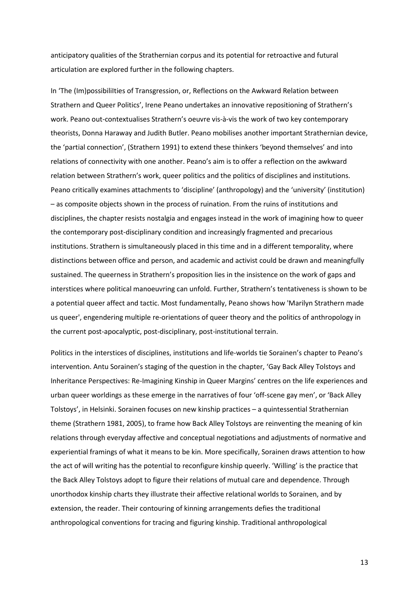anticipatory qualities of the Strathernian corpus and its potential for retroactive and futural articulation are explored further in the following chapters.

In 'The (Im)possibiliIties of Transgression, or, Reflections on the Awkward Relation between Strathern and Queer Politics', Irene Peano undertakes an innovative repositioning of Strathern's work. Peano out-contextualises Strathern's oeuvre vis-à-vis the work of two key contemporary theorists, Donna Haraway and Judith Butler. Peano mobilises another important Strathernian device, the 'partial connection', (Strathern 1991) to extend these thinkers 'beyond themselves' and into relations of connectivity with one another. Peano's aim is to offer a reflection on the awkward relation between Strathern's work, queer politics and the politics of disciplines and institutions. Peano critically examines attachments to 'discipline' (anthropology) and the 'university' (institution) – as composite objects shown in the process of ruination. From the ruins of institutions and disciplines, the chapter resists nostalgia and engages instead in the work of imagining how to queer the contemporary post-disciplinary condition and increasingly fragmented and precarious institutions. Strathern is simultaneously placed in this time and in a different temporality, where distinctions between office and person, and academic and activist could be drawn and meaningfully sustained. The queerness in Strathern's proposition lies in the insistence on the work of gaps and interstices where political manoeuvring can unfold. Further, Strathern's tentativeness is shown to be a potential queer affect and tactic. Most fundamentally, Peano shows how 'Marilyn Strathern made us queer', engendering multiple re-orientations of queer theory and the politics of anthropology in the current post-apocalyptic, post-disciplinary, post-institutional terrain.

Politics in the interstices of disciplines, institutions and life-worlds tie Sorainen's chapter to Peano's intervention. Antu Sorainen's staging of the question in the chapter, 'Gay Back Alley Tolstoys and Inheritance Perspectives: Re-Imagining Kinship in Queer Margins' centres on the life experiences and urban queer worldings as these emerge in the narratives of four 'off-scene gay men', or 'Back Alley Tolstoys', in Helsinki. Sorainen focuses on new kinship practices – a quintessential Strathernian theme (Strathern 1981, 2005), to frame how Back Alley Tolstoys are reinventing the meaning of kin relations through everyday affective and conceptual negotiations and adjustments of normative and experiential framings of what it means to be kin. More specifically, Sorainen draws attention to how the act of will writing has the potential to reconfigure kinship queerly. 'Willing' is the practice that the Back Alley Tolstoys adopt to figure their relations of mutual care and dependence. Through unorthodox kinship charts they illustrate their affective relational worlds to Sorainen, and by extension, the reader. Their contouring of kinning arrangements defies the traditional anthropological conventions for tracing and figuring kinship. Traditional anthropological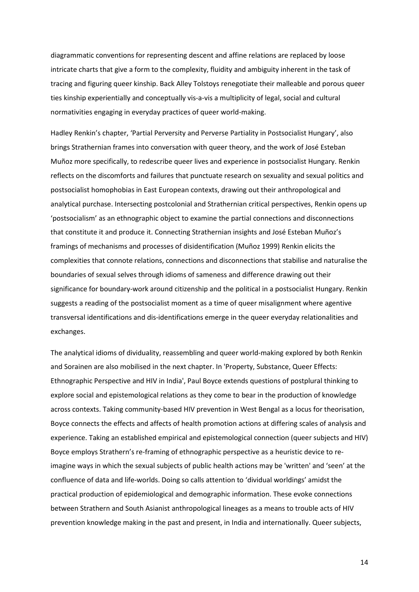diagrammatic conventions for representing descent and affine relations are replaced by loose intricate charts that give a form to the complexity, fluidity and ambiguity inherent in the task of tracing and figuring queer kinship. Back Alley Tolstoys renegotiate their malleable and porous queer ties kinship experientially and conceptually vis-a-vis a multiplicity of legal, social and cultural normativities engaging in everyday practices of queer world-making.

Hadley Renkin's chapter, 'Partial Perversity and Perverse Partiality in Postsocialist Hungary', also brings Strathernian frames into conversation with queer theory, and the work of José Esteban Muñoz more specifically, to redescribe queer lives and experience in postsocialist Hungary. Renkin reflects on the discomforts and failures that punctuate research on sexuality and sexual politics and postsocialist homophobias in East European contexts, drawing out their anthropological and analytical purchase. Intersecting postcolonial and Strathernian critical perspectives, Renkin opens up 'postsocialism' as an ethnographic object to examine the partial connections and disconnections that constitute it and produce it. Connecting Strathernian insights and José Esteban Muñoz's framings of mechanisms and processes of disidentification (Muñoz 1999) Renkin elicits the complexities that connote relations, connections and disconnections that stabilise and naturalise the boundaries of sexual selves through idioms of sameness and difference drawing out their significance for boundary-work around citizenship and the political in a postsocialist Hungary. Renkin suggests a reading of the postsocialist moment as a time of queer misalignment where agentive transversal identifications and dis-identifications emerge in the queer everyday relationalities and exchanges.

The analytical idioms of dividuality, reassembling and queer world-making explored by both Renkin and Sorainen are also mobilised in the next chapter. In 'Property, Substance, Queer Effects: Ethnographic Perspective and HIV in India', Paul Boyce extends questions of postplural thinking to explore social and epistemological relations as they come to bear in the production of knowledge across contexts. Taking community-based HIV prevention in West Bengal as a locus for theorisation, Boyce connects the effects and affects of health promotion actions at differing scales of analysis and experience. Taking an established empirical and epistemological connection (queer subjects and HIV) Boyce employs Strathern's re-framing of ethnographic perspective as a heuristic device to reimagine ways in which the sexual subjects of public health actions may be 'written' and 'seen' at the confluence of data and life-worlds. Doing so calls attention to 'dividual worldings' amidst the practical production of epidemiological and demographic information. These evoke connections between Strathern and South Asianist anthropological lineages as a means to trouble acts of HIV prevention knowledge making in the past and present, in India and internationally. Queer subjects,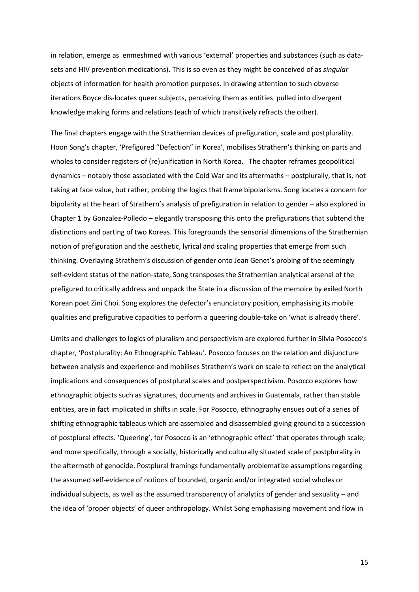in relation, emerge as enmeshmed with various 'external' properties and substances (such as datasets and HIV prevention medications). This is so even as they might be conceived of as *singular* objects of information for health promotion purposes. In drawing attention to such obverse iterations Boyce dis-locates queer subjects, perceiving them as entities pulled into divergent knowledge making forms and relations (each of which transitively refracts the other).

The final chapters engage with the Strathernian devices of prefiguration, scale and postplurality. Hoon Song's chapter, 'Prefigured "Defection" in Korea', mobilises Strathern's thinking on parts and wholes to consider registers of (re)unification in North Korea. The chapter reframes geopolitical dynamics – notably those associated with the Cold War and its aftermaths – postplurally, that is, not taking at face value, but rather, probing the logics that frame bipolarisms. Song locates a concern for bipolarity at the heart of Strathern's analysis of prefiguration in relation to gender – also explored in Chapter 1 by Gonzalez-Polledo – elegantly transposing this onto the prefigurations that subtend the distinctions and parting of two Koreas. This foregrounds the sensorial dimensions of the Strathernian notion of prefiguration and the aesthetic, lyrical and scaling properties that emerge from such thinking. Overlaying Strathern's discussion of gender onto Jean Genet's probing of the seemingly self-evident status of the nation-state, Song transposes the Strathernian analytical arsenal of the prefigured to critically address and unpack the State in a discussion of the memoire by exiled North Korean poet Zini Choi. Song explores the defector's enunciatory position, emphasising its mobile qualities and prefigurative capacities to perform a queering double-take on 'what is already there'.

Limits and challenges to logics of pluralism and perspectivism are explored further in Silvia Posocco's chapter, 'Postplurality: An Ethnographic Tableau'. Posocco focuses on the relation and disjuncture between analysis and experience and mobilises Strathern's work on scale to reflect on the analytical implications and consequences of postplural scales and postperspectivism. Posocco explores how ethnographic objects such as signatures, documents and archives in Guatemala, rather than stable entities, are in fact implicated in shifts in scale. For Posocco, ethnography ensues out of a series of shifting ethnographic tableaus which are assembled and disassembled giving ground to a succession of postplural effects. 'Queering', for Posocco is an 'ethnographic effect' that operates through scale, and more specifically, through a socially, historically and culturally situated scale of postplurality in the aftermath of genocide. Postplural framings fundamentally problematize assumptions regarding the assumed self-evidence of notions of bounded, organic and/or integrated social wholes or individual subjects, as well as the assumed transparency of analytics of gender and sexuality – and the idea of 'proper objects' of queer anthropology. Whilst Song emphasising movement and flow in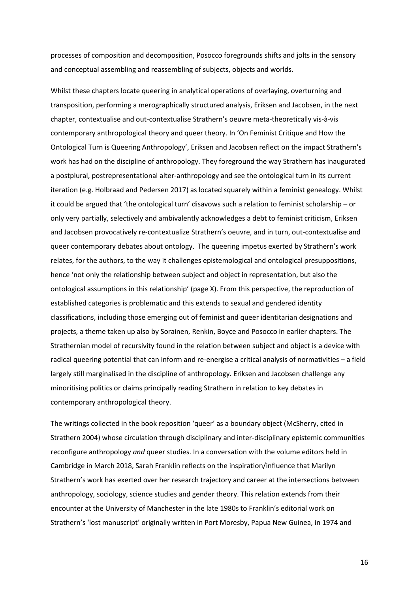processes of composition and decomposition, Posocco foregrounds shifts and jolts in the sensory and conceptual assembling and reassembling of subjects, objects and worlds.

Whilst these chapters locate queering in analytical operations of overlaying, overturning and transposition, performing a merographically structured analysis, Eriksen and Jacobsen, in the next chapter, contextualise and out-contextualise Strathern's oeuvre meta-theoretically vis-à-vis contemporary anthropological theory and queer theory. In 'On Feminist Critique and How the Ontological Turn is Queering Anthropology', Eriksen and Jacobsen reflect on the impact Strathern's work has had on the discipline of anthropology. They foreground the way Strathern has inaugurated a postplural, postrepresentational alter-anthropology and see the ontological turn in its current iteration (e.g. Holbraad and Pedersen 2017) as located squarely within a feminist genealogy. Whilst it could be argued that 'the ontological turn' disavows such a relation to feminist scholarship – or only very partially, selectively and ambivalently acknowledges a debt to feminist criticism, Eriksen and Jacobsen provocatively re-contextualize Strathern's oeuvre, and in turn, out-contextualise and queer contemporary debates about ontology. The queering impetus exerted by Strathern's work relates, for the authors, to the way it challenges epistemological and ontological presuppositions, hence 'not only the relationship between subject and object in representation, but also the ontological assumptions in this relationship' (page X). From this perspective, the reproduction of established categories is problematic and this extends to sexual and gendered identity classifications, including those emerging out of feminist and queer identitarian designations and projects, a theme taken up also by Sorainen, Renkin, Boyce and Posocco in earlier chapters. The Strathernian model of recursivity found in the relation between subject and object is a device with radical queering potential that can inform and re-energise a critical analysis of normativities – a field largely still marginalised in the discipline of anthropology. Eriksen and Jacobsen challenge any minoritising politics or claims principally reading Strathern in relation to key debates in contemporary anthropological theory.

The writings collected in the book reposition 'queer' as a boundary object (McSherry, cited in Strathern 2004) whose circulation through disciplinary and inter-disciplinary epistemic communities reconfigure anthropology *and* queer studies. In a conversation with the volume editors held in Cambridge in March 2018, Sarah Franklin reflects on the inspiration/influence that Marilyn Strathern's work has exerted over her research trajectory and career at the intersections between anthropology, sociology, science studies and gender theory. This relation extends from their encounter at the University of Manchester in the late 1980s to Franklin's editorial work on Strathern's 'lost manuscript' originally written in Port Moresby, Papua New Guinea, in 1974 and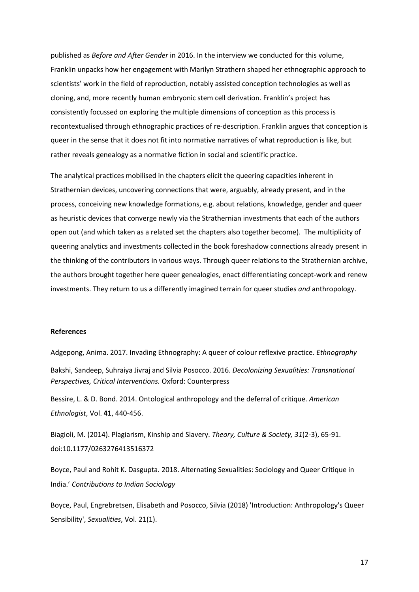published as *Before and After Gender* in 2016. In the interview we conducted for this volume, Franklin unpacks how her engagement with Marilyn Strathern shaped her ethnographic approach to scientists' work in the field of reproduction, notably assisted conception technologies as well as cloning, and, more recently human embryonic stem cell derivation. Franklin's project has consistently focussed on exploring the multiple dimensions of conception as this process is recontextualised through ethnographic practices of re-description. Franklin argues that conception is queer in the sense that it does not fit into normative narratives of what reproduction is like, but rather reveals genealogy as a normative fiction in social and scientific practice.

The analytical practices mobilised in the chapters elicit the queering capacities inherent in Strathernian devices, uncovering connections that were, arguably, already present, and in the process, conceiving new knowledge formations, e.g. about relations, knowledge, gender and queer as heuristic devices that converge newly via the Strathernian investments that each of the authors open out (and which taken as a related set the chapters also together become). The multiplicity of queering analytics and investments collected in the book foreshadow connections already present in the thinking of the contributors in various ways. Through queer relations to the Strathernian archive, the authors brought together here queer genealogies, enact differentiating concept-work and renew investments. They return to us a differently imagined terrain for queer studies *and* anthropology.

### **References**

Adgepong, Anima. 2017. Invading Ethnography: A queer of colour reflexive practice. *Ethnography* Bakshi, Sandeep, Suhraiya Jivraj and Silvia Posocco. 2016. *Decolonizing Sexualities: Transnational Perspectives, Critical Interventions.* Oxford: Counterpress

Bessire, L. & D. Bond. 2014. Ontological anthropology and the deferral of critique. *American Ethnologist*, Vol. **41**, 440-456.

Biagioli, M. (2014). Plagiarism, Kinship and Slavery. *Theory, Culture & Society, 31*(2-3), 65-91. doi:10.1177/0263276413516372

Boyce, Paul and Rohit K. Dasgupta. 2018. Alternating Sexualities: Sociology and Queer Critique in India.' *Contributions to Indian Sociology*

Boyce, Paul, Engrebretsen, Elisabeth and Posocco, Silvia (2018) 'Introduction: Anthropology's Queer Sensibility', *Sexualities*, Vol. 21(1).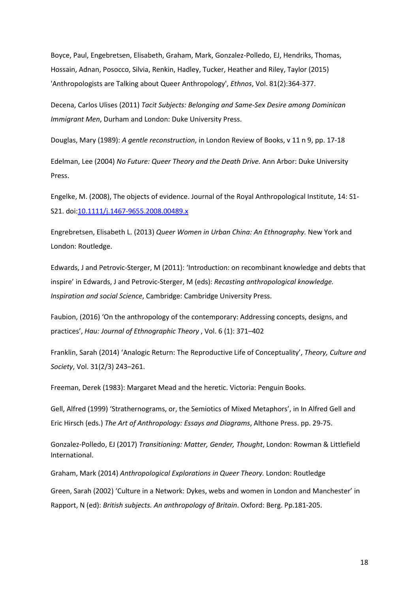Boyce, Paul, Engebretsen, Elisabeth, Graham, Mark, Gonzalez-Polledo, EJ, Hendriks, Thomas, Hossain, Adnan, Posocco, Silvia, Renkin, Hadley, Tucker, Heather and Riley, Taylor (2015) 'Anthropologists are Talking about Queer Anthropology', *Ethnos*, Vol. 81(2):364-377.

Decena, Carlos Ulises (2011) *Tacit Subjects: Belonging and Same-Sex Desire among Dominican Immigrant Men*, Durham and London: Duke University Press.

Douglas, Mary (1989): *A gentle reconstruction*, in London Review of Books, v 11 n 9, pp. 17-18

Edelman, Lee (2004) *No Future: Queer Theory and the Death Drive.* Ann Arbor: Duke University Press.

Engelke, M. (2008), The objects of evidence. Journal of the Royal Anthropological Institute, 14: S1- S21. doi[:10.1111/j.1467-9655.2008.00489.x](https://doi.org/10.1111/j.1467-9655.2008.00489.x)

Engrebretsen, Elisabeth L. (2013) *Queer Women in Urban China: An Ethnography.* New York and London: Routledge.

Edwards, J and Petrovic-Sterger, M (2011): 'Introduction: on recombinant knowledge and debts that inspire' in Edwards, J and Petrovic-Sterger, M (eds): *Recasting anthropological knowledge. Inspiration and social Science*, Cambridge: Cambridge University Press.

Faubion, (2016) 'On the anthropology of the contemporary: Addressing concepts, designs, and practices', *Hau: Journal of Ethnographic Theory* , Vol. 6 (1): 371–402

Franklin, Sarah (2014) 'Analogic Return: The Reproductive Life of Conceptuality', *Theory, Culture and Society*, Vol. 31(2/3) 243–261.

Freeman, Derek (1983): Margaret Mead and the heretic. Victoria: Penguin Books.

Gell, Alfred (1999) 'Strathernograms, or, the Semiotics of Mixed Metaphors', in In Alfred Gell and Eric Hirsch (eds.) *The Art of Anthropology: Essays and Diagrams*, Althone Press. pp. 29-75.

Gonzalez-Polledo, EJ (2017) *Transitioning: Matter, Gender, Thought*, London: Rowman & Littlefield International.

Graham, Mark (2014) *Anthropological Explorations in Queer Theory.* London: Routledge

Green, Sarah (2002) 'Culture in a Network: Dykes, webs and women in London and Manchester' in Rapport, N (ed): *British subjects. An anthropology of Britain*. Oxford: Berg. Pp.181-205.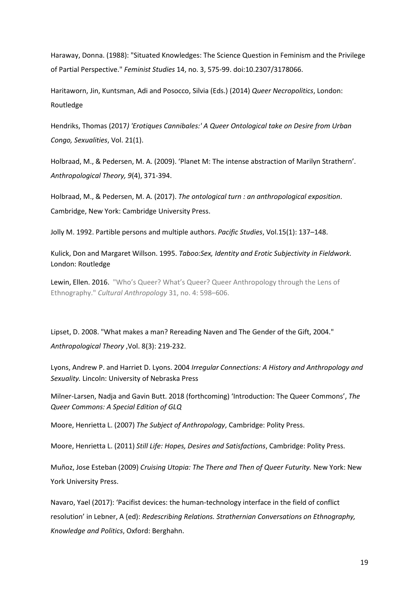Haraway, Donna. (1988): "Situated Knowledges: The Science Question in Feminism and the Privilege of Partial Perspective." *Feminist Studies* 14, no. 3, 575-99. doi:10.2307/3178066.

Haritaworn, Jin, Kuntsman, Adi and Posocco, Silvia (Eds.) (2014) *Queer Necropolitics*, London: Routledge

Hendriks, Thomas (2017*) 'Erotiques Cannibales:' A Queer Ontological take on Desire from Urban Congo, Sexualities*, Vol. 21(1).

Holbraad, M., & Pedersen, M. A. (2009). 'Planet M: The intense abstraction of Marilyn Strathern'. *Anthropological Theory, 9*(4), 371-394.

Holbraad, M., & Pedersen, M. A. (2017). *The ontological turn : an anthropological exposition*. Cambridge, New York: Cambridge University Press.

Jolly M. 1992. Partible persons and multiple authors. *Pacific Studies*, Vol.15(1): 137–148.

Kulick, Don and Margaret Willson. 1995. *Taboo:Sex, Identity and Erotic Subjectivity in Fieldwork.*  London: Routledge

Lewin, Ellen. 2016. "Who's Queer? What's Queer? Queer Anthropology through the Lens of Ethnography." *Cultural Anthropology* 31, no. 4: 598–606.

Lipset, D. 2008. "What makes a man? Rereading Naven and The Gender of the Gift, 2004." *Anthropological Theory* ,Vol. 8(3): 219-232.

Lyons, Andrew P. and Harriet D. Lyons. 2004 *Irregular Connections: A History and Anthropology and Sexuality.* Lincoln: University of Nebraska Press

Milner-Larsen, Nadja and Gavin Butt. 2018 (forthcoming) 'Introduction: The Queer Commons', *The Queer Commons: A Special Edition of GLQ*

Moore, Henrietta L. (2007) *The Subject of Anthropology*, Cambridge: Polity Press.

Moore, Henrietta L. (2011) *Still Life: Hopes, Desires and Satisfactions*, Cambridge: Polity Press.

Muñoz, Jose Esteban (2009) *Cruising Utopia: The There and Then of Queer Futurity.* New York: New York University Press.

Navaro, Yael (2017): 'Pacifist devices: the human-technology interface in the field of conflict resolution' in Lebner, A (ed): *Redescribing Relations. Strathernian Conversations on Ethnography, Knowledge and Politics*, Oxford: Berghahn.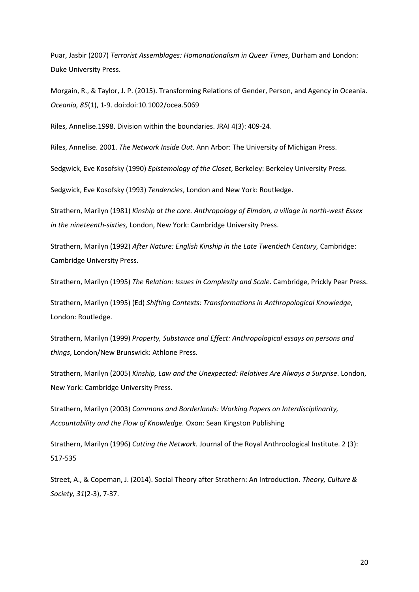Puar, Jasbir (2007) *Terrorist Assemblages: Homonationalism in Queer Times*, Durham and London: Duke University Press.

Morgain, R., & Taylor, J. P. (2015). Transforming Relations of Gender, Person, and Agency in Oceania. *Oceania, 85*(1), 1-9. doi:doi:10.1002/ocea.5069

Riles, Annelise.1998. Division within the boundaries. JRAI 4(3): 409-24.

Riles, Annelise. 2001. *The Network Inside Out*. Ann Arbor: The University of Michigan Press.

Sedgwick, Eve Kosofsky (1990) *Epistemology of the Closet*, Berkeley: Berkeley University Press.

Sedgwick, Eve Kosofsky (1993) *Tendencies*, London and New York: Routledge.

Strathern, Marilyn (1981) *Kinship at the core. Anthropology of Elmdon, a village in north-west Essex in the nineteenth-sixties,* London, New York: Cambridge University Press.

Strathern, Marilyn (1992) *After Nature: English Kinship in the Late Twentieth Century,* Cambridge: Cambridge University Press.

Strathern, Marilyn (1995) *The Relation: Issues in Complexity and Scale*. Cambridge, Prickly Pear Press.

Strathern, Marilyn (1995) (Ed) *Shifting Contexts: Transformations in Anthropological Knowledge*, London: Routledge.

Strathern, Marilyn (1999) *Property, Substance and Effect: Anthropological essays on persons and things*, London/New Brunswick: Athlone Press.

Strathern, Marilyn (2005) *Kinship, Law and the Unexpected: Relatives Are Always a Surprise*. London, New York: Cambridge University Press.

Strathern, Marilyn (2003) *Commons and Borderlands: Working Papers on Interdisciplinarity, Accountability and the Flow of Knowledge.* Oxon: Sean Kingston Publishing

Strathern, Marilyn (1996) *Cutting the Network.* Journal of the Royal Anthroological Institute. 2 (3): 517-535

Street, A., & Copeman, J. (2014). Social Theory after Strathern: An Introduction. *Theory, Culture & Society, 31*(2-3), 7-37.